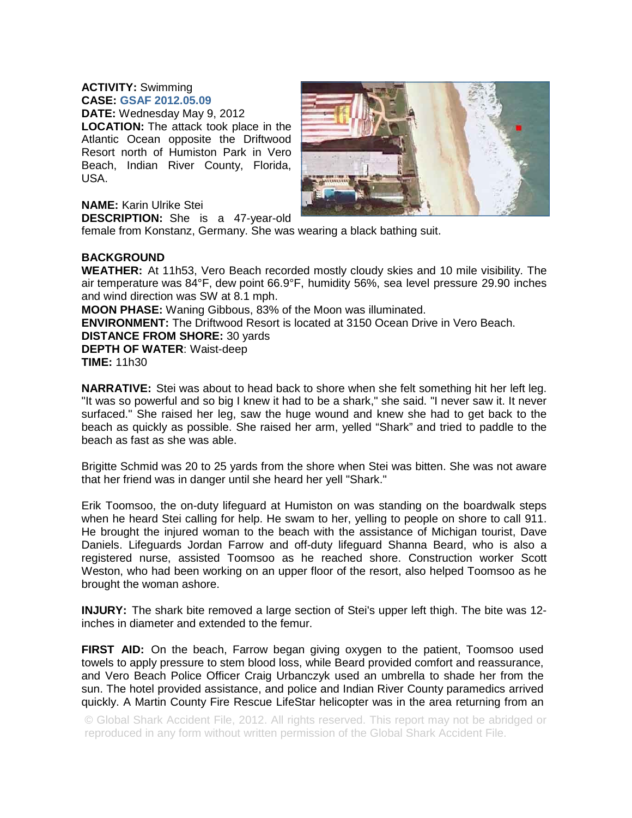## **ACTIVITY:** Swimming **CASE: GSAF 2012.05.09**

**DATE:** Wednesday May 9, 2012 **LOCATION:** The attack took place in the Atlantic Ocean opposite the Driftwood Resort north of Humiston Park in Vero Beach, Indian River County, Florida, USA.



## **NAME:** Karin Ulrike Stei

**DESCRIPTION:** She is a 47-year-old female from Konstanz, Germany. She was wearing a black bathing suit.

## **BACKGROUND**

**WEATHER:** At 11h53, Vero Beach recorded mostly cloudy skies and 10 mile visibility. The air temperature was 84°F, dew point 66.9°F, humidity 56%, sea level pressure 29.90 inches and wind direction was SW at 8.1 mph.

**MOON PHASE:** Waning Gibbous, 83% of the Moon was illuminated.

**ENVIRONMENT:** The Driftwood Resort is located at 3150 Ocean Drive in Vero Beach. **DISTANCE FROM SHORE:** 30 yards

**DEPTH OF WATER**: Waist-deep **TIME:** 11h30

**NARRATIVE:** Stei was about to head back to shore when she felt something hit her left leg. "It was so powerful and so big I knew it had to be a shark," she said. "I never saw it. It never surfaced." She raised her leg, saw the huge wound and knew she had to get back to the beach as quickly as possible. She raised her arm, yelled "Shark" and tried to paddle to the beach as fast as she was able.

Brigitte Schmid was 20 to 25 yards from the shore when Stei was bitten. She was not aware that her friend was in danger until she heard her yell "Shark."

Erik Toomsoo, the on-duty lifeguard at Humiston on was standing on the boardwalk steps when he heard Stei calling for help. He swam to her, yelling to people on shore to call 911. He brought the injured woman to the beach with the assistance of Michigan tourist, Dave Daniels. Lifeguards Jordan Farrow and off-duty lifeguard Shanna Beard, who is also a registered nurse, assisted Toomsoo as he reached shore. Construction worker Scott Weston, who had been working on an upper floor of the resort, also helped Toomsoo as he brought the woman ashore.

**INJURY:** The shark bite removed a large section of Stei's upper left thigh. The bite was 12 inches in diameter and extended to the femur.

**FIRST AID:** On the beach, Farrow began giving oxygen to the patient, Toomsoo used towels to apply pressure to stem blood loss, while Beard provided comfort and reassurance, and Vero Beach Police Officer Craig Urbanczyk used an umbrella to shade her from the sun. The hotel provided assistance, and police and Indian River County paramedics arrived quickly. A Martin County Fire Rescue LifeStar helicopter was in the area returning from an

© Global Shark Accident File, 2012. All rights reserved. This report may not be abridged or reproduced in any form without written permission of the Global Shark Accident File.